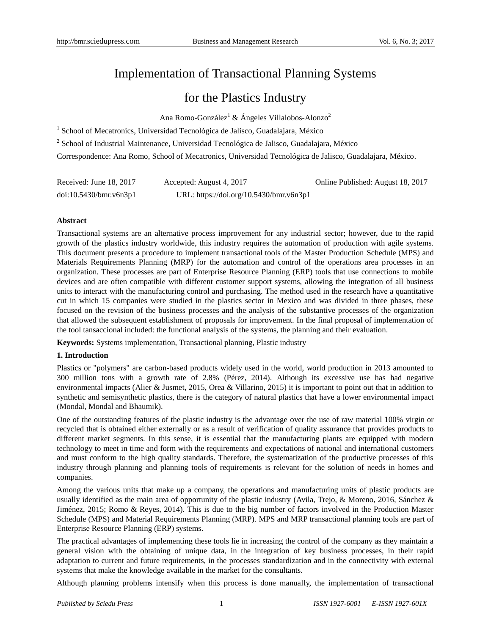# Implementation of Transactional Planning Systems

## for the Plastics Industry

Ana Romo-González<sup>1</sup> & Ángeles Villalobos-Alonzo<sup>2</sup>

<sup>1</sup> School of Mecatronics, Universidad Tecnológica de Jalisco, Guadalajara, México

<sup>2</sup> School of Industrial Maintenance, Universidad Tecnológica de Jalisco, Guadalajara, México

Correspondence: Ana Romo, School of Mecatronics, Universidad Tecnológica de Jalisco, Guadalajara, México.

| Received: June 18, 2017 | Accepted: August 4, 2017                | Online Published: August 18, 2017 |
|-------------------------|-----------------------------------------|-----------------------------------|
| doi:10.5430/bmr.v6n3p1  | URL: https://doi.org/10.5430/bmr.v6n3p1 |                                   |

#### **Abstract**

Transactional systems are an alternative process improvement for any industrial sector; however, due to the rapid growth of the plastics industry worldwide, this industry requires the automation of production with agile systems. This document presents a procedure to implement transactional tools of the Master Production Schedule (MPS) and Materials Requirements Planning (MRP) for the automation and control of the operations area processes in an organization. These processes are part of Enterprise Resource Planning (ERP) tools that use connections to mobile devices and are often compatible with different customer support systems, allowing the integration of all business units to interact with the manufacturing control and purchasing. The method used in the research have a quantitative cut in which 15 companies were studied in the plastics sector in Mexico and was divided in three phases, these focused on the revision of the business processes and the analysis of the substantive processes of the organization that allowed the subsequent establishment of proposals for improvement. In the final proposal of implementation of the tool tansaccional included: the functional analysis of the systems, the planning and their evaluation.

**Keywords:** Systems implementation, Transactional planning, Plastic industry

## **1. Introduction**

Plastics or "polymers" are carbon-based products widely used in the world, world production in 2013 amounted to 300 million tons with a growth rate of 2.8% (Pérez, 2014). Although its excessive use has had negative environmental impacts (Alier & Jusmet, 2015, Orea & Villarino, 2015) it is important to point out that in addition to synthetic and semisynthetic plastics, there is the category of natural plastics that have a lower environmental impact (Mondal, Mondal and Bhaumik).

One of the outstanding features of the plastic industry is the advantage over the use of raw material 100% virgin or recycled that is obtained either externally or as a result of verification of quality assurance that provides products to different market segments. In this sense, it is essential that the manufacturing plants are equipped with modern technology to meet in time and form with the requirements and expectations of national and international customers and must conform to the high quality standards. Therefore, the systematization of the productive processes of this industry through planning and planning tools of requirements is relevant for the solution of needs in homes and companies.

Among the various units that make up a company, the operations and manufacturing units of plastic products are usually identified as the main area of opportunity of the plastic industry (Avila, Trejo, & Moreno, 2016, Sánchez & Jiménez, 2015; Romo & Reyes, 2014). This is due to the big number of factors involved in the Production Master Schedule (MPS) and Material Requirements Planning (MRP). MPS and MRP transactional planning tools are part of Enterprise Resource Planning (ERP) systems.

The practical advantages of implementing these tools lie in increasing the control of the company as they maintain a general vision with the obtaining of unique data, in the integration of key business processes, in their rapid adaptation to current and future requirements, in the processes standardization and in the connectivity with external systems that make the knowledge available in the market for the consultants.

Although planning problems intensify when this process is done manually, the implementation of transactional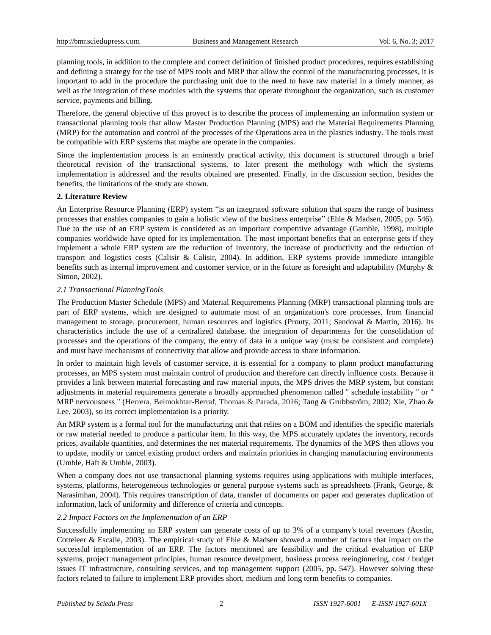planning tools, in addition to the complete and correct definition of finished product procedures, requires establishing and defining a strategy for the use of MPS tools and MRP that allow the control of the manufacturing processes, it is important to add in the procedure the purchasing unit due to the need to have raw material in a timely manner, as well as the integration of these modules with the systems that operate throughout the organization, such as customer service, payments and billing.

Therefore, the general objective of this proyect is to describe the process of implementing an information system or transactional planning tools that allow Master Production Planning (MPS) and the Material Requirements Planning (MRP) for the automation and control of the processes of the Operations area in the plastics industry. The tools must be compatible with ERP systems that maybe are operate in the companies.

Since the implementation process is an eminently practical activity, this document is structured through a brief theoretical revision of the transactional systems, to later present the methology with which the systems implementation is addressed and the results obtained are presented. Finally, in the discussion section, besides the benefits, the limitations of the study are shown.

#### **2. Literature Review**

An Enterprise Resource Planning (ERP) system "is an integrated software solution that spans the range of business processes that enables companies to gain a holistic view of the business enterprise" (Ehie & Madsen, 2005, pp. 546). Due to the use of an ERP system is considered as an important competitive advantage (Gamble, 1998), multiple companies worldwide have opted for its implementation. The most important benefits that an enterprise gets if they implement a whole ERP system are the reduction of inventory, the increase of productivity and the reduction of transport and logistics costs (Calisir & Calisir, 2004). In addition, ERP systems provide immediate intangible benefits such as internal improvement and customer service, or in the future as foresight and adaptability (Murphy & Simon, 2002).

#### *2.1 Transactional PlanningTools*

The Production Master Schedule (MPS) and Material Requirements Planning (MRP) transactional planning tools are part of ERP systems, which are designed to automate most of an organization's core processes, from financial management to storage, procurement, human resources and logistics (Prouty, 2011; Sandoval & Mart n, 2016). Its characteristics include the use of a centralized database, the integration of departments for the consolidation of processes and the operations of the company, the entry of data in a unique way (must be consistent and complete) and must have mechanisms of connectivity that allow and provide access to share information.

In order to maintain high levels of customer service, it is essential for a company to plann product manufacturing processes, an MPS system must maintain control of production and therefore can directly influence costs. Because it provides a link between material forecasting and raw material inputs, the MPS drives the MRP system, but constant adjustments in material requirements generate a broadly approached phenomenon called '' schedule instability '' or '' MRP nervousness '' (Herrera, Belmokhtar-Berraf, Thomas & Parada, 2016; Tang & Grubbström, 2002; Xie, Zhao & Lee, 2003), so its correct implementation is a priority.

An MRP system is a formal tool for the manufacturing unit that relies on a BOM and identifies the specific materials or raw material needed to produce a particular item. In this way, the MPS accurately updates the inventory, records prices, available quantities, and determines the net material requirements. The dynamics of the MPS then allows you to update, modify or cancel existing product orders and maintain priorities in changing manufacturing environments (Umble, Haft & Umble, 2003).

When a company does not use transactional planning systems requires using applications with multiple interfaces, systems, platforms, heterogeneous technologies or general purpose systems such as spreadsheets (Frank, George, & Narasimhan, 2004). This requires transcription of data, transfer of documents on paper and generates duplication of information, lack of uniformity and difference of criteria and concepts.

## *2.2 Impact Factors on the Implementation of an ERP*

Successfully implementing an ERP system can generate costs of up to 3% of a company's total revenues (Austin, Cotteleer & Escalle, 2003). The empirical study of Ehie & Madsen showed a number of factors that impact on the successful implementation of an ERP. The factors mentioned are feasibility and the critical evaluation of ERP systems, project management principles, human resource develpment, business process reeinginnering, cost / budget issues IT infrastructure, consulting services, and top management support (2005, pp. 547). However solving these factors related to failure to implement ERP provides short, medium and long term benefits to companies.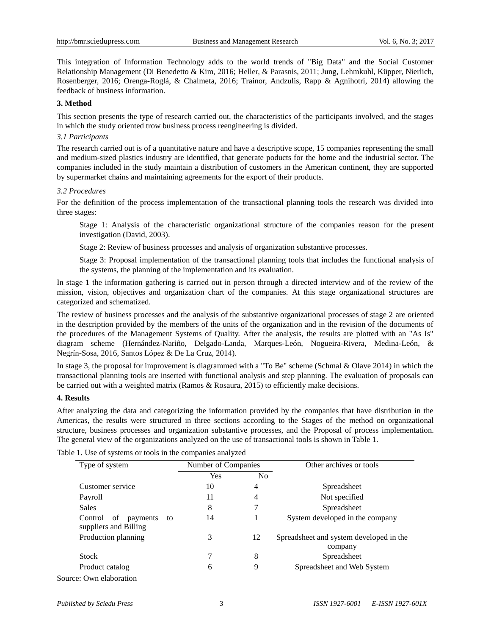This integration of Information Technology adds to the world trends of "Big Data" and the Social Customer Relationship Management (Di Benedetto & Kim, 2016; Heller, & Parasnis, 2011; Jung, Lehmkuhl, Küpper, Nierlich, Rosenberger, 2016; Orenga-Roglá, & Chalmeta, 2016; Trainor, Andzulis, Rapp & Agnihotri, 2014) allowing the feedback of business information.

#### **3. Method**

This section presents the type of research carried out, the characteristics of the participants involved, and the stages in which the study oriented trow business process reengineering is divided.

#### *3.1 Participants*

The research carried out is of a quantitative nature and have a descriptive scope, 15 companies representing the small and medium-sized plastics industry are identified, that generate poducts for the home and the industrial sector. The companies included in the study maintain a distribution of customers in the American continent, they are supported by supermarket chains and maintaining agreements for the export of their products.

#### *3.2 Procedures*

For the definition of the process implementation of the transactional planning tools the research was divided into three stages:

Stage 1: Analysis of the characteristic organizational structure of the companies reason for the present investigation (David, 2003).

Stage 2: Review of business processes and analysis of organization substantive processes.

Stage 3: Proposal implementation of the transactional planning tools that includes the functional analysis of the systems, the planning of the implementation and its evaluation.

In stage 1 the information gathering is carried out in person through a directed interview and of the review of the mission, vision, objectives and organization chart of the companies. At this stage organizational structures are categorized and schematized.

The review of business processes and the analysis of the substantive organizational processes of stage 2 are oriented in the description provided by the members of the units of the organization and in the revision of the documents of the procedures of the Management Systems of Quality. After the analysis, the results are plotted with an "As Is" diagram scheme (Hernández-Nariño, Delgado-Landa, Marques-León, Nogueira-Rivera, Medina-León, & Negr *f* - Sosa, 2016, Santos López & De La Cruz, 2014).

In stage 3, the proposal for improvement is diagrammed with a "To Be" scheme (Schmal & Olave 2014) in which the transactional planning tools are inserted with functional analysis and step planning. The evaluation of proposals can be carried out with a weighted matrix (Ramos & Rosaura, 2015) to efficiently make decisions.

#### **4. Results**

After analyzing the data and categorizing the information provided by the companies that have distribution in the Americas, the results were structured in three sections according to the Stages of the method on organizational structure, business processes and organization substantive processes, and the Proposal of process implementation. The general view of the organizations analyzed on the use of transactional tools is shown in Table 1.

| Type of system                                           | Number of Companies |                | Other archives or tools                            |
|----------------------------------------------------------|---------------------|----------------|----------------------------------------------------|
|                                                          | Yes                 | N <sub>o</sub> |                                                    |
| Customer service                                         | 10                  | 4              | Spreadsheet                                        |
| Payroll                                                  | 11                  | 4              | Not specified                                      |
| <b>Sales</b>                                             | 8                   | 7              | Spreadsheet                                        |
| Control<br>of<br>payments<br>to<br>suppliers and Billing | 14                  |                | System developed in the company                    |
| Production planning                                      | 3                   | 12             | Spreadsheet and system developed in the<br>company |
| <b>Stock</b>                                             |                     | 8              | Spreadsheet                                        |
| Product catalog                                          | 6                   | 9              | Spreadsheet and Web System                         |

Table 1. Use of systems or tools in the companies analyzed

Source: Own elaboration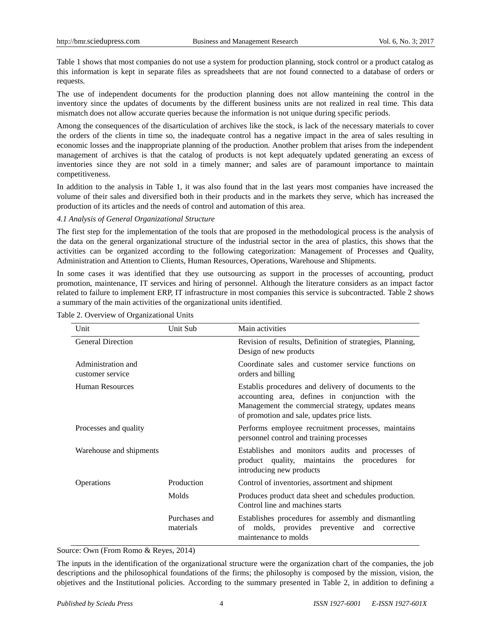Table 1 shows that most companies do not use a system for production planning, stock control or a product catalog as this information is kept in separate files as spreadsheets that are not found connected to a database of orders or requests.

The use of independent documents for the production planning does not allow manteining the control in the inventory since the updates of documents by the different business units are not realized in real time. This data mismatch does not allow accurate queries because the information is not unique during specific periods.

Among the consequences of the disarticulation of archives like the stock, is lack of the necessary materials to cover the orders of the clients in time so, the inadequate control has a negative impact in the area of sales resulting in economic losses and the inappropriate planning of the production. Another problem that arises from the independent management of archives is that the catalog of products is not kept adequately updated generating an excess of inventories since they are not sold in a timely manner; and sales are of paramount importance to maintain competitiveness.

In addition to the analysis in Table 1, it was also found that in the last years most companies have increased the volume of their sales and diversified both in their products and in the markets they serve, which has increased the production of its articles and the needs of control and automation of this area.

## *4.1 Analysis of General Organizational Structure*

The first step for the implementation of the tools that are proposed in the methodological process is the analysis of the data on the general organizational structure of the industrial sector in the area of plastics, this shows that the activities can be organized according to the following categorization: Management of Processes and Quality, Administration and Attention to Clients, Human Resources, Operations, Warehouse and Shipments.

In some cases it was identified that they use outsourcing as support in the processes of accounting, product promotion, maintenance, IT services and hiring of personnel. Although the literature considers as an impact factor related to failure to implement ERP, IT infrastructure in most companies this service is subcontracted. Table 2 shows a summary of the main activities of the organizational units identified.

| Unit                                   | Unit Sub                   | Main activities                                                                                                                                                                                              |  |
|----------------------------------------|----------------------------|--------------------------------------------------------------------------------------------------------------------------------------------------------------------------------------------------------------|--|
| <b>General Direction</b>               |                            | Revision of results, Definition of strategies, Planning,<br>Design of new products                                                                                                                           |  |
| Administration and<br>customer service |                            | Coordinate sales and customer service functions on<br>orders and billing                                                                                                                                     |  |
| <b>Human Resources</b>                 |                            | Establis procedures and delivery of documents to the<br>accounting area, defines in conjunction with the<br>Management the commercial strategy, updates means<br>of promotion and sale, updates price lists. |  |
| Processes and quality                  |                            | Performs employee recruitment processes, maintains<br>personnel control and training processes                                                                                                               |  |
| Warehouse and shipments                |                            | Establishes and monitors audits and processes of<br>product quality, maintains the procedures for<br>introducing new products                                                                                |  |
| Operations                             | Production                 | Control of inventories, assortment and shipment                                                                                                                                                              |  |
|                                        | Molds                      | Produces product data sheet and schedules production.<br>Control line and machines starts                                                                                                                    |  |
|                                        | Purchases and<br>materials | Establishes procedures for assembly and dismantling<br>of molds, provides preventive and corrective<br>maintenance to molds                                                                                  |  |

Table 2. Overview of Organizational Units

Source: Own (From Romo & Reyes, 2014)

The inputs in the identification of the organizational structure were the organization chart of the companies, the job descriptions and the philosophical foundations of the firms; the philosophy is composed by the mission, vision, the objetives and the Institutional policies. According to the summary presented in Table 2, in addition to defining a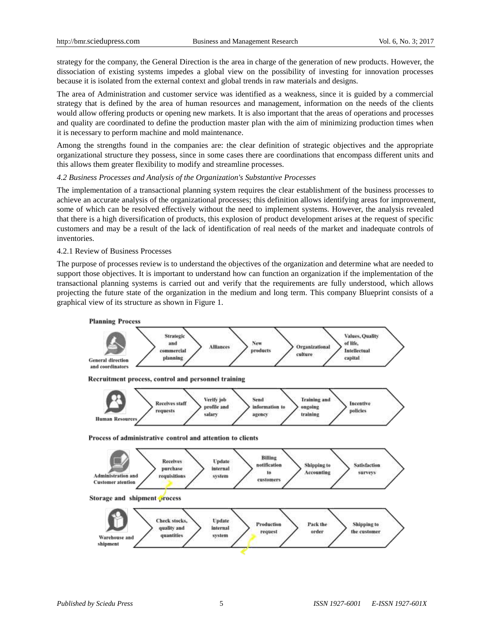strategy for the company, the General Direction is the area in charge of the generation of new products. However, the dissociation of existing systems impedes a global view on the possibility of investing for innovation processes because it is isolated from the external context and global trends in raw materials and designs.

The area of Administration and customer service was identified as a weakness, since it is guided by a commercial strategy that is defined by the area of human resources and management, information on the needs of the clients would allow offering products or opening new markets. It is also important that the areas of operations and processes and quality are coordinated to define the production master plan with the aim of minimizing production times when it is necessary to perform machine and mold maintenance.

Among the strengths found in the companies are: the clear definition of strategic objectives and the appropriate organizational structure they possess, since in some cases there are coordinations that encompass different units and this allows them greater flexibility to modify and streamline processes.

## *4.2 Business Processes and Analysis of the Organization's Substantive Processes*

The implementation of a transactional planning system requires the clear establishment of the business processes to achieve an accurate analysis of the organizational processes; this definition allows identifying areas for improvement, some of which can be resolved effectively without the need to implement systems. However, the analysis revealed that there is a high diversification of products, this explosion of product development arises at the request of specific customers and may be a result of the lack of identification of real needs of the market and inadequate controls of inventories.

#### 4.2.1 Review of Business Processes

The purpose of processes review is to understand the objectives of the organization and determine what are needed to support those objectives. It is important to understand how can function an organization if the implementation of the transactional planning systems is carried out and verify that the requirements are fully understood, which allows projecting the future state of the organization in the medium and long term. This company Blueprint consists of a graphical view of its structure as shown in Figure 1.

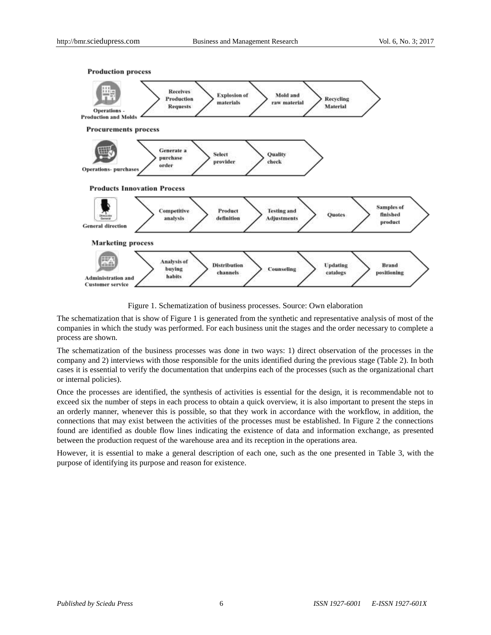

Figure 1. Schematization of business processes. Source: Own elaboration

The schematization that is show of Figure 1 is generated from the synthetic and representative analysis of most of the companies in which the study was performed. For each business unit the stages and the order necessary to complete a process are shown.

The schematization of the business processes was done in two ways: 1) direct observation of the processes in the company and 2) interviews with those responsible for the units identified during the previous stage (Table 2). In both cases it is essential to verify the documentation that underpins each of the processes (such as the organizational chart or internal policies).

Once the processes are identified, the synthesis of activities is essential for the design, it is recommendable not to exceed six the number of steps in each process to obtain a quick overview, it is also important to present the steps in an orderly manner, whenever this is possible, so that they work in accordance with the workflow, in addition, the connections that may exist between the activities of the processes must be established. In Figure 2 the connections found are identified as double flow lines indicating the existence of data and information exchange, as presented between the production request of the warehouse area and its reception in the operations area.

However, it is essential to make a general description of each one, such as the one presented in Table 3, with the purpose of identifying its purpose and reason for existence.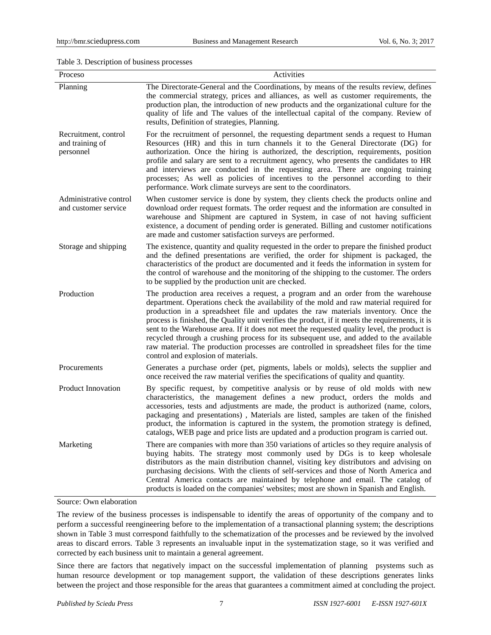### Table 3. Description of business processes

| Proceso                                              | Activities                                                                                                                                                                                                                                                                                                                                                                                                                                                                                                                                                                                                                                                                                       |
|------------------------------------------------------|--------------------------------------------------------------------------------------------------------------------------------------------------------------------------------------------------------------------------------------------------------------------------------------------------------------------------------------------------------------------------------------------------------------------------------------------------------------------------------------------------------------------------------------------------------------------------------------------------------------------------------------------------------------------------------------------------|
| Planning                                             | The Directorate-General and the Coordinations, by means of the results review, defines<br>the commercial strategy, prices and alliances, as well as customer requirements, the<br>production plan, the introduction of new products and the organizational culture for the<br>quality of life and The values of the intellectual capital of the company. Review of<br>results, Definition of strategies, Planning.                                                                                                                                                                                                                                                                               |
| Recruitment, control<br>and training of<br>personnel | For the recruitment of personnel, the requesting department sends a request to Human<br>Resources (HR) and this in turn channels it to the General Directorate (DG) for<br>authorization. Once the hiring is authorized, the description, requirements, position<br>profile and salary are sent to a recruitment agency, who presents the candidates to HR<br>and interviews are conducted in the requesting area. There are ongoing training<br>processes; As well as policies of incentives to the personnel according to their<br>performance. Work climate surveys are sent to the coordinators.                                                                                             |
| Administrative control<br>and customer service       | When customer service is done by system, they clients check the products online and<br>download order request formats. The order request and the information are consulted in<br>warehouse and Shipment are captured in System, in case of not having sufficient<br>existence, a document of pending order is generated. Billing and customer notifications<br>are made and customer satisfaction surveys are performed.                                                                                                                                                                                                                                                                         |
| Storage and shipping                                 | The existence, quantity and quality requested in the order to prepare the finished product<br>and the defined presentations are verified, the order for shipment is packaged, the<br>characteristics of the product are documented and it feeds the information in system for<br>the control of warehouse and the monitoring of the shipping to the customer. The orders<br>to be supplied by the production unit are checked.                                                                                                                                                                                                                                                                   |
| Production                                           | The production area receives a request, a program and an order from the warehouse<br>department. Operations check the availability of the mold and raw material required for<br>production in a spreadsheet file and updates the raw materials inventory. Once the<br>process is finished, the Quality unit verifies the product, if it meets the requirements, it is<br>sent to the Warehouse area. If it does not meet the requested quality level, the product is<br>recycled through a crushing process for its subsequent use, and added to the available<br>raw material. The production processes are controlled in spreadsheet files for the time<br>control and explosion of materials. |
| Procurements                                         | Generates a purchase order (pet, pigments, labels or molds), selects the supplier and<br>once received the raw material verifies the specifications of quality and quantity.                                                                                                                                                                                                                                                                                                                                                                                                                                                                                                                     |
| <b>Product Innovation</b>                            | By specific request, by competitive analysis or by reuse of old molds with new<br>characteristics, the management defines a new product, orders the molds and<br>accessories, tests and adjustments are made, the product is authorized (name, colors,<br>packaging and presentations), Materials are listed, samples are taken of the finished<br>product, the information is captured in the system, the promotion strategy is defined,<br>catalogs, WEB page and price lists are updated and a production program is carried out.                                                                                                                                                             |
| Marketing                                            | There are companies with more than 350 variations of articles so they require analysis of<br>buying habits. The strategy most commonly used by DGs is to keep wholesale<br>distributors as the main distribution channel, visiting key distributors and advising on<br>purchasing decisions. With the clients of self-services and those of North America and<br>Central America contacts are maintained by telephone and email. The catalog of<br>products is loaded on the companies' websites; most are shown in Spanish and English.                                                                                                                                                         |

Source: Own elaboration

The review of the business processes is indispensable to identify the areas of opportunity of the company and to perform a successful reengineering before to the implementation of a transactional planning system; the descriptions shown in Table 3 must correspond faithfully to the schematization of the processes and be reviewed by the involved areas to discard errors. Table 3 represents an invaluable input in the systematization stage, so it was verified and corrected by each business unit to maintain a general agreement.

Since there are factors that negatively impact on the successful implementation of planning psystems such as human resource development or top management support, the validation of these descriptions generates links between the project and those responsible for the areas that guarantees a commitment aimed at concluding the project.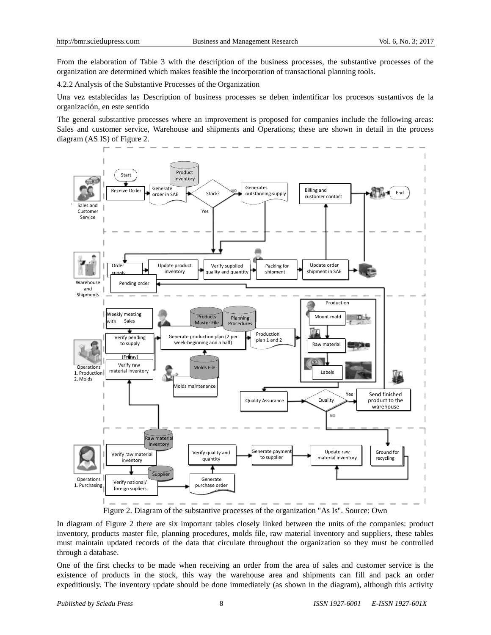From the elaboration of Table 3 with the description of the business processes, the substantive processes of the organization are determined which makes feasible the incorporation of transactional planning tools.

4.2.2 Analysis of the Substantive Processes of the Organization

Una vez establecidas las Description of business processes se deben indentificar los procesos sustantivos de la organización, en este sentido

The general substantive processes where an improvement is proposed for companies include the following areas: Sales and customer service, Warehouse and shipments and Operations; these are shown in detail in the process diagram (AS IS) of Figure 2.



In diagram of Figure 2 there are six important tables closely linked between the units of the companies: product inventory, products master file, planning procedures, molds file, raw material inventory and suppliers, these tables must maintain updated records of the data that circulate throughout the organization so they must be controlled through a database.

One of the first checks to be made when receiving an order from the area of sales and customer service is the existence of products in the stock, this way the warehouse area and shipments can fill and pack an order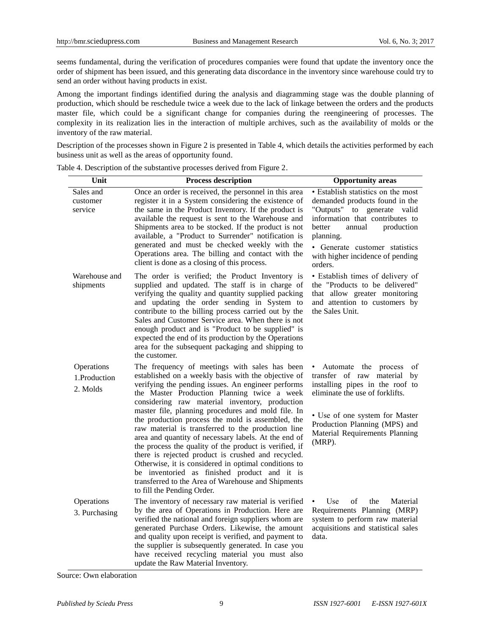seems fundamental, during the verification of procedures companies were found that update the inventory once the order of shipment has been issued, and this generating data discordance in the inventory since warehouse could try to send an order without having products in exist.

Among the important findings identified during the analysis and diagramming stage was the double planning of production, which should be reschedule twice a week due to the lack of linkage between the orders and the products master file, which could be a significant change for companies during the reengineering of processes. The complexity in its realization lies in the interaction of multiple archives, such as the availability of molds or the inventory of the raw material.

Description of the processes shown in Figure 2 is presented in Table 4, which details the activities performed by each business unit as well as the areas of opportunity found.

| Unit                                   | <b>Process description</b>                                                                                                                                                                                                                                                                                                                                                                                                                                                                                                                                                                                                                                                                                                                                                                       | <b>Opportunity</b> areas                                                                                                                                                                                                                                               |  |
|----------------------------------------|--------------------------------------------------------------------------------------------------------------------------------------------------------------------------------------------------------------------------------------------------------------------------------------------------------------------------------------------------------------------------------------------------------------------------------------------------------------------------------------------------------------------------------------------------------------------------------------------------------------------------------------------------------------------------------------------------------------------------------------------------------------------------------------------------|------------------------------------------------------------------------------------------------------------------------------------------------------------------------------------------------------------------------------------------------------------------------|--|
| Sales and<br>customer<br>service       | Once an order is received, the personnel in this area<br>register it in a System considering the existence of<br>the same in the Product Inventory. If the product is<br>available the request is sent to the Warehouse and<br>Shipments area to be stocked. If the product is not<br>available, a "Product to Surrender" notification is<br>generated and must be checked weekly with the<br>Operations area. The billing and contact with the<br>client is done as a closing of this process.                                                                                                                                                                                                                                                                                                  | • Establish statistics on the most<br>demanded products found in the<br>"Outputs" to generate valid<br>information that contributes to<br>production<br>better<br>annual<br>planning.<br>· Generate customer statistics<br>with higher incidence of pending<br>orders. |  |
| Warehouse and<br>shipments             | The order is verified; the Product Inventory is<br>supplied and updated. The staff is in charge of<br>verifying the quality and quantity supplied packing<br>and updating the order sending in System to<br>contribute to the billing process carried out by the<br>Sales and Customer Service area. When there is not<br>enough product and is "Product to be supplied" is<br>expected the end of its production by the Operations<br>area for the subsequent packaging and shipping to<br>the customer.                                                                                                                                                                                                                                                                                        | • Establish times of delivery of<br>the "Products to be delivered"<br>that allow greater monitoring<br>and attention to customers by<br>the Sales Unit.                                                                                                                |  |
| Operations<br>1.Production<br>2. Molds | The frequency of meetings with sales has been<br>established on a weekly basis with the objective of<br>verifying the pending issues. An engineer performs<br>the Master Production Planning twice a week<br>considering raw material inventory, production<br>master file, planning procedures and mold file. In<br>the production process the mold is assembled, the<br>raw material is transferred to the production line<br>area and quantity of necessary labels. At the end of<br>the process the quality of the product is verified, if<br>there is rejected product is crushed and recycled.<br>Otherwise, it is considered in optimal conditions to<br>be inventoried as finished product and it is<br>transferred to the Area of Warehouse and Shipments<br>to fill the Pending Order. | Automate the process<br>$\bullet$<br>οf<br>transfer of raw material<br>by<br>installing pipes in the roof to<br>eliminate the use of forklifts.<br>• Use of one system for Master<br>Production Planning (MPS) and<br>Material Requirements Planning<br>(MRP).         |  |
| Operations<br>3. Purchasing            | The inventory of necessary raw material is verified<br>by the area of Operations in Production. Here are<br>verified the national and foreign suppliers whom are<br>generated Purchase Orders. Likewise, the amount<br>and quality upon receipt is verified, and payment to<br>the supplier is subsequently generated. In case you<br>have received recycling material you must also<br>update the Raw Material Inventory.                                                                                                                                                                                                                                                                                                                                                                       | Use<br>of<br>the<br>Material<br>Requirements Planning (MRP)<br>system to perform raw material<br>acquisitions and statistical sales<br>data.                                                                                                                           |  |

Table 4. Description of the substantive processes derived from Figure 2.

Source: Own elaboration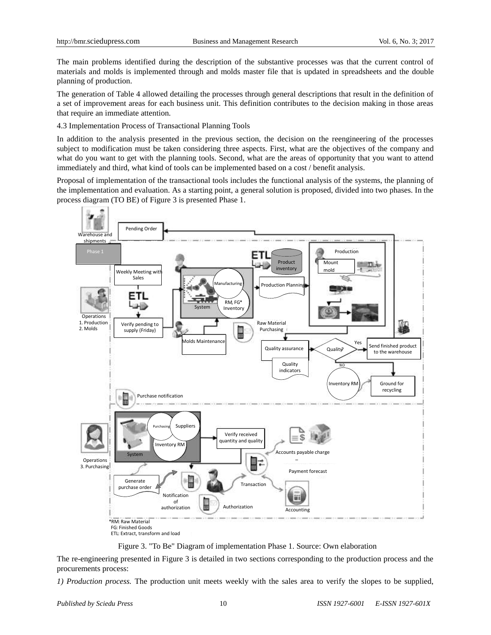The main problems identified during the description of the substantive processes was that the current control of materials and molds is implemented through and molds master file that is updated in spreadsheets and the double planning of production.

The generation of Table 4 allowed detailing the processes through general descriptions that result in the definition of a set of improvement areas for each business unit. This definition contributes to the decision making in those areas that require an immediate attention.

4.3 Implementation Process of Transactional Planning Tools

In addition to the analysis presented in the previous section, the decision on the reengineering of the processes subject to modification must be taken considering three aspects. First, what are the objectives of the company and what do you want to get with the planning tools. Second, what are the areas of opportunity that you want to attend immediately and third, what kind of tools can be implemented based on a cost / benefit analysis.

Proposal of implementation of the transactional tools includes the functional analysis of the systems, the planning of the implementation and evaluation. As a starting point, a general solution is proposed, divided into two phases. In the process diagram (TO BE) of Figure 3 is presented Phase 1.



Figure 3. "To Be" Diagram of implementation Phase 1. Source: Own elaboration

The re-engineering presented in Figure 3 is detailed in two sections corresponding to the production process and the procurements process:

*1) Production process.* The production unit meets weekly with the sales area to verify the slopes to be supplied,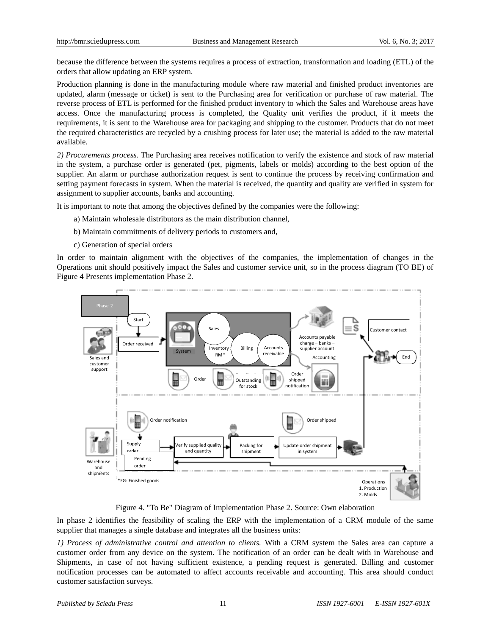because the difference between the systems requires a process of extraction, transformation and loading (ETL) of the orders that allow updating an ERP system.

Production planning is done in the manufacturing module where raw material and finished product inventories are updated, alarm (message or ticket) is sent to the Purchasing area for verification or purchase of raw material. The reverse process of ETL is performed for the finished product inventory to which the Sales and Warehouse areas have access. Once the manufacturing process is completed, the Quality unit verifies the product, if it meets the requirements, it is sent to the Warehouse area for packaging and shipping to the customer. Products that do not meet the required characteristics are recycled by a crushing process for later use; the material is added to the raw material available.

*2) Procurements process.* The Purchasing area receives notification to verify the existence and stock of raw material in the system, a purchase order is generated (pet, pigments, labels or molds) according to the best option of the supplier. An alarm or purchase authorization request is sent to continue the process by receiving confirmation and setting payment forecasts in system. When the material is received, the quantity and quality are verified in system for assignment to supplier accounts, banks and accounting.

It is important to note that among the objectives defined by the companies were the following:

- a) Maintain wholesale distributors as the main distribution channel,
- b) Maintain commitments of delivery periods to customers and,
- c) Generation of special orders

In order to maintain alignment with the objectives of the companies, the implementation of changes in the Operations unit should positively impact the Sales and customer service unit, so in the process diagram (TO BE) of Figure 4 Presents implementation Phase 2.



Figure 4. "To Be" Diagram of Implementation Phase 2. Source: Own elaboration

In phase 2 identifies the feasibility of scaling the ERP with the implementation of a CRM module of the same supplier that manages a single database and integrates all the business units:

*1) Process of administrative control and attention to clients.* With a CRM system the Sales area can capture a customer order from any device on the system. The notification of an order can be dealt with in Warehouse and Shipments, in case of not having sufficient existence, a pending request is generated. Billing and customer notification processes can be automated to affect accounts receivable and accounting. This area should conduct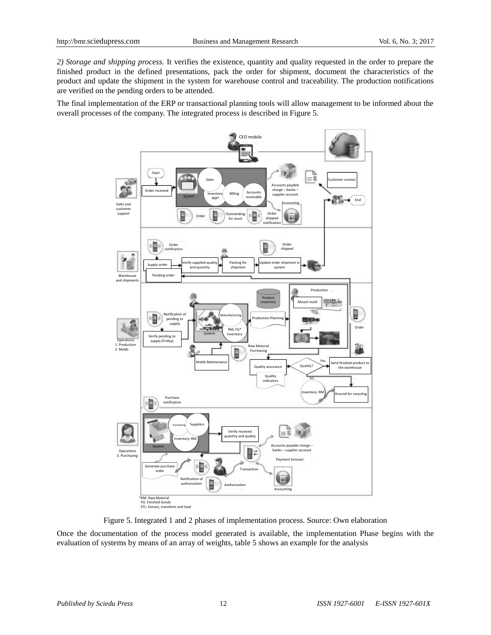*2) Storage and shipping process.* It verifies the existence, quantity and quality requested in the order to prepare the finished product in the defined presentations, pack the order for shipment, document the characteristics of the product and update the shipment in the system for warehouse control and traceability. The production notifications are verified on the pending orders to be attended.

The final implementation of the ERP or transactional planning tools will allow management to be informed about the overall processes of the company. The integrated process is described in Figure 5.



Figure 5. Integrated 1 and 2 phases of implementation process. Source: Own elaboration

Once the documentation of the process model generated is available, the implementation Phase begins with the evaluation of systems by means of an array of weights, table 5 shows an example for the analysis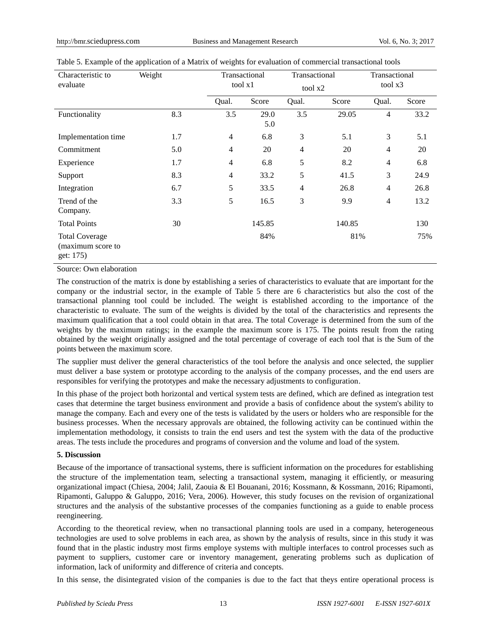| Characteristic to<br>evaluate                           | Weight | Transactional<br>tool x1 |             | Transactional<br>tool x2 |        | Transactional<br>tool x3 |       |
|---------------------------------------------------------|--------|--------------------------|-------------|--------------------------|--------|--------------------------|-------|
|                                                         |        | Qual.                    | Score       | Qual.                    | Score  | Qual.                    | Score |
| Functionality                                           | 8.3    | 3.5                      | 29.0<br>5.0 | 3.5                      | 29.05  | $\overline{4}$           | 33.2  |
| Implementation time                                     | 1.7    | 4                        | 6.8         | 3                        | 5.1    | 3                        | 5.1   |
| Commitment                                              | 5.0    | $\overline{4}$           | 20          | $\overline{4}$           | 20     | $\overline{4}$           | 20    |
| Experience                                              | 1.7    | 4                        | 6.8         | 5                        | 8.2    | $\overline{4}$           | 6.8   |
| Support                                                 | 8.3    | 4                        | 33.2        | 5                        | 41.5   | 3                        | 24.9  |
| Integration                                             | 6.7    | 5                        | 33.5        | $\overline{4}$           | 26.8   | $\overline{4}$           | 26.8  |
| Trend of the<br>Company.                                | 3.3    | 5                        | 16.5        | 3                        | 9.9    | $\overline{4}$           | 13.2  |
| <b>Total Points</b>                                     | 30     |                          | 145.85      |                          | 140.85 |                          | 130   |
| <b>Total Coverage</b><br>(maximum score to<br>get: 175) |        |                          | 84%         |                          | 81%    |                          | 75%   |

|  |  | Table 5. Example of the application of a Matrix of weights for evaluation of commercial transactional tools |
|--|--|-------------------------------------------------------------------------------------------------------------|
|  |  |                                                                                                             |

Source: Own elaboration

The construction of the matrix is done by establishing a series of characteristics to evaluate that are important for the company or the industrial sector, in the example of Table 5 there are 6 characteristics but also the cost of the transactional planning tool could be included. The weight is established according to the importance of the characteristic to evaluate. The sum of the weights is divided by the total of the characteristics and represents the maximum qualification that a tool could obtain in that area. The total Coverage is determined from the sum of the weights by the maximum ratings; in the example the maximum score is 175. The points result from the rating obtained by the weight originally assigned and the total percentage of coverage of each tool that is the Sum of the points between the maximum score.

The supplier must deliver the general characteristics of the tool before the analysis and once selected, the supplier must deliver a base system or prototype according to the analysis of the company processes, and the end users are responsibles for verifying the prototypes and make the necessary adjustments to configuration.

In this phase of the project both horizontal and vertical system tests are defined, which are defined as integration test cases that determine the target business environment and provide a basis of confidence about the system's ability to manage the company. Each and every one of the tests is validated by the users or holders who are responsible for the business processes. When the necessary approvals are obtained, the following activity can be continued within the implementation methodology, it consists to train the end users and test the system with the data of the productive areas. The tests include the procedures and programs of conversion and the volume and load of the system.

#### **5. Discussion**

Because of the importance of transactional systems, there is sufficient information on the procedures for establishing the structure of the implementation team, selecting a transactional system, managing it efficiently, or measuring organizational impact (Chiesa, 2004; Jalil, Zaouia & El Bouanani, 2016; Kossmann, & Kossmann, 2016; Ripamonti, Ripamonti, Galuppo & Galuppo, 2016; Vera, 2006). However, this study focuses on the revision of organizational structures and the analysis of the substantive processes of the companies functioning as a guide to enable process reengineering.

According to the theoretical review, when no transactional planning tools are used in a company, heterogeneous technologies are used to solve problems in each area, as shown by the analysis of results, since in this study it was found that in the plastic industry most firms employe systems with multiple interfaces to control processes such as payment to suppliers, customer care or inventory management, generating problems such as duplication of information, lack of uniformity and difference of criteria and concepts.

In this sense, the disintegrated vision of the companies is due to the fact that theys entire operational process is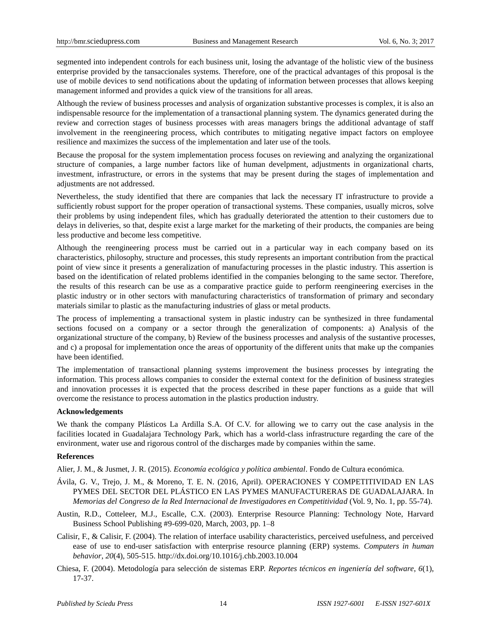segmented into independent controls for each business unit, losing the advantage of the holistic view of the business enterprise provided by the tansaccionales systems. Therefore, one of the practical advantages of this proposal is the use of mobile devices to send notifications about the updating of information between processes that allows keeping management informed and provides a quick view of the transitions for all areas.

Although the review of business processes and analysis of organization substantive processes is complex, it is also an indispensable resource for the implementation of a transactional planning system. The dynamics generated during the review and correction stages of business processes with areas managers brings the additional advantage of staff involvement in the reengineering process, which contributes to mitigating negative impact factors on employee resilience and maximizes the success of the implementation and later use of the tools.

Because the proposal for the system implementation process focuses on reviewing and analyzing the organizational structure of companies, a large number factors like of human develpment, adjustments in organizational charts, investment, infrastructure, or errors in the systems that may be present during the stages of implementation and adjustments are not addressed.

Nevertheless, the study identified that there are companies that lack the necessary IT infrastructure to provide a sufficiently robust support for the proper operation of transactional systems. These companies, usually micros, solve their problems by using independent files, which has gradually deteriorated the attention to their customers due to delays in deliveries, so that, despite exist a large market for the marketing of their products, the companies are being less productive and become less competitive.

Although the reengineering process must be carried out in a particular way in each company based on its characteristics, philosophy, structure and processes, this study represents an important contribution from the practical point of view since it presents a generalization of manufacturing processes in the plastic industry. This assertion is based on the identification of related problems identified in the companies belonging to the same sector. Therefore, the results of this research can be use as a comparative practice guide to perform reengineering exercises in the plastic industry or in other sectors with manufacturing characteristics of transformation of primary and secondary materials similar to plastic as the manufacturing industries of glass or metal products.

The process of implementing a transactional system in plastic industry can be synthesized in three fundamental sections focused on a company or a sector through the generalization of components: a) Analysis of the organizational structure of the company, b) Review of the business processes and analysis of the sustantive processes, and c) a proposal for implementation once the areas of opportunity of the different units that make up the companies have been identified.

The implementation of transactional planning systems improvement the business processes by integrating the information. This process allows companies to consider the external context for the definition of business strategies and innovation processes it is expected that the process described in these paper functions as a guide that will overcome the resistance to process automation in the plastics production industry.

#### **Acknowledgements**

We thank the company Plásticos La Ardilla S.A. Of C.V. for allowing we to carry out the case analysis in the facilities located in Guadalajara Technology Park, which has a world-class infrastructure regarding the care of the environment, water use and rigorous control of the discharges made by companies within the same.

#### **References**

Alier, J. M., & Jusmet, J. R. (2015). *Economía ecológica y política ambiental*. Fondo de Cultura económica.

- Ávila, G. V., Trejo, J. M., & Moreno, T. E. N. (2016, April). OPERACIONES Y COMPETITIVIDAD EN LAS PYMES DEL SECTOR DEL PLÁSTICO EN LAS PYMES MANUFACTURERAS DE GUADALAJARA. In *Memorias del Congreso de la Red Internacional de Investigadores en Competitividad* (Vol. 9, No. 1, pp. 55-74).
- Austin, R.D., Cotteleer, M.J., Escalle, C.X. (2003). Enterprise Resource Planning: Technology Note, Harvard Business School Publishing #9-699-020, March, 2003, pp. 1–8
- Calisir, F., & Calisir, F. (2004). The relation of interface usability characteristics, perceived usefulness, and perceived ease of use to end-user satisfaction with enterprise resource planning (ERP) systems. *Computers in human behavior*, *20*(4), 505-515. http://dx.doi.org/10.1016/j.chb.2003.10.004
- Chiesa, F. (2004). Metodología para selección de sistemas ERP. *Reportes técnicos en ingeniería del software*, *6*(1), 17-37.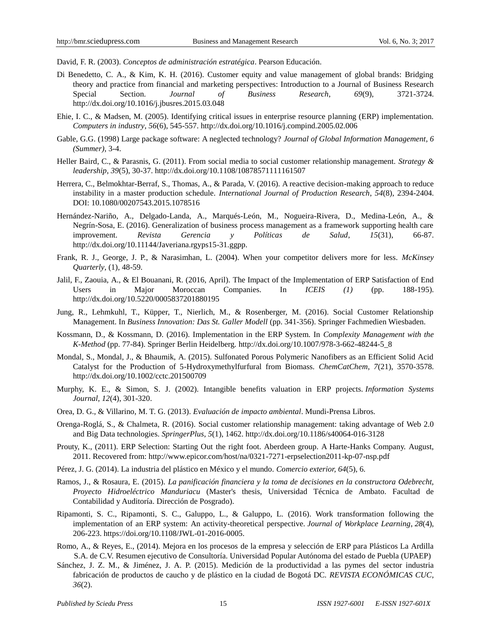David, F. R. (2003). *Conceptos de administración estratégica*. Pearson Educación.

- Di Benedetto, C. A., & Kim, K. H. (2016). Customer equity and value management of global brands: Bridging theory and practice from financial and marketing perspectives: Introduction to a Journal of Business Research Special Section. *Journal of Business Research*, *69*(9), 3721-3724. http://dx.doi.org/10.1016/j.jbusres.2015.03.048
- Ehie, I. C., & Madsen, M. (2005). Identifying critical issues in enterprise resource planning (ERP) implementation. *Computers in industry*, *56*(6), 545-557. http://dx.doi.org/10.1016/j.compind.2005.02.006
- Gable, G.G. (1998) Large package software: A neglected technology? *Journal of Global Information Management, 6 (Summer)*, 3-4.
- Heller Baird, C., & Parasnis, G. (2011). From social media to social customer relationship management. *Strategy & leadership*, *39*(5), 30-37.<http://dx.doi.org/10.1108/10878571111161507>
- Herrera, C., Belmokhtar-Berraf, S., Thomas, A., & Parada, V. (2016). A reactive decision-making approach to reduce instability in a master production schedule. *International Journal of Production Research*, *54*(8), 2394-2404. DOI: 10.1080/00207543.2015.1078516
- Hernández-Nariño, A., Delgado-Landa, A., Marqués-León, M., Nogueira-Rivera, D., Medina-León, A., & Negr *fi*-Sosa, E. (2016). Generalization of business process management as a framework supporting health care improvement. *Revista Gerencia y Políticas de Salud*, *15*(31), 66-87. http://dx.doi.org/10.11144/Javeriana.rgyps15-31.ggpp.
- Frank, R. J., George, J. P., & Narasimhan, L. (2004). When your competitor delivers more for less. *McKinsey Quarterly*, (1), 48-59.
- Jalil, F., Zaouia, A., & El Bouanani, R. (2016, April). The Impact of the Implementation of ERP Satisfaction of End Users in Major Moroccan Companies. In *ICEIS (1)* (pp. 188-195). http://dx.doi.org/10.5220/0005837201880195
- Jung, R., Lehmkuhl, T., Küpper, T., Nierlich, M., & Rosenberger, M. (2016). Social Customer Relationship Management. In *Business Innovation: Das St. Galler Modell* (pp. 341-356). Springer Fachmedien Wiesbaden.
- Kossmann, D., & Kossmann, D. (2016). Implementation in the ERP System. In *Complexity Management with the K-Method* (pp. 77-84). Springer Berlin Heidelberg. http://dx.doi.org/10.1007/978-3-662-48244-5\_8
- Mondal, S., Mondal, J., & Bhaumik, A. (2015). Sulfonated Porous Polymeric Nanofibers as an Efficient Solid Acid Catalyst for the Production of 5-Hydroxymethylfurfural from Biomass. *ChemCatChem*, *7*(21), 3570-3578. http://dx.doi.org/10.1002/cctc.201500709
- Murphy, K. E., & Simon, S. J. (2002). Intangible benefits valuation in ERP projects. *Information Systems Journal*, *12*(4), 301-320.
- Orea, D. G., & Villarino, M. T. G. (2013). *Evaluación de impacto ambiental*. Mundi-Prensa Libros.
- Orenga-Roglá, S., & Chalmeta, R. (2016). Social customer relationship management: taking advantage of Web 2.0 and Big Data technologies. *SpringerPlus*, *5*(1), 1462. http://dx.doi.org/10.1186/s40064-016-3128
- Prouty, K., (2011). ERP Selection: Starting Out the right foot. Aberdeen group. A Harte-Hanks Company. August, 2011. Recovered from: http://www.epicor.com/host/na/0321-7271-erpselection2011-kp-07-nsp.pdf
- Pérez, J. G. (2014). La industria del plástico en México y el mundo. *Comercio exterior, 64*(5), 6.
- Ramos, J., & Rosaura, E. (2015). *La panificación financiera y la toma de decisiones en la constructora Odebrecht, Proyecto Hidroeléctrico Manduriacu* (Master's thesis, Universidad Técnica de Ambato. Facultad de Contabilidad y Auditor á. Dirección de Posgrado).
- Ripamonti, S. C., Ripamonti, S. C., Galuppo, L., & Galuppo, L. (2016). Work transformation following the implementation of an ERP system: An activity-theoretical perspective. *Journal of Workplace Learning*, *28*(4), 206-223. https://doi.org/10.1108/JWL-01-2016-0005.
- Romo, A., & Reyes, E., (2014). Mejora en los procesos de la empresa y selección de ERP para Plásticos La Ardilla S.A. de C.V. Resumen ejecutivo de Consultoría. Universidad Popular Autónoma del estado de Puebla (UPAEP)
- Sánchez, J. Z. M., & Jiménez, J. A. P. (2015). Medición de la productividad a las pymes del sector industria fabricación de productos de caucho y de plástico en la ciudad de Bogotá DC. *REVISTA ECONÓMICAS CUC*, *36*(2).